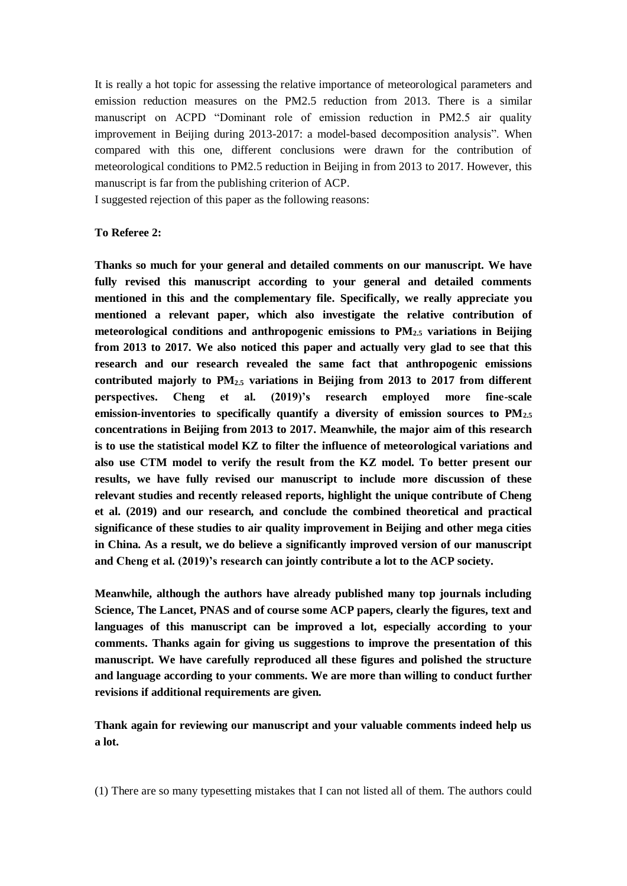It is really a hot topic for assessing the relative importance of meteorological parameters and emission reduction measures on the PM2.5 reduction from 2013. There is a similar manuscript on ACPD "Dominant role of emission reduction in PM2.5 air quality improvement in Beijing during 2013-2017: a model-based decomposition analysis". When compared with this one, different conclusions were drawn for the contribution of meteorological conditions to PM2.5 reduction in Beijing in from 2013 to 2017. However, this manuscript is far from the publishing criterion of ACP.

I suggested rejection of this paper as the following reasons:

## **To Referee 2:**

**Thanks so much for your general and detailed comments on our manuscript. We have fully revised this manuscript according to your general and detailed comments mentioned in this and the complementary file. Specifically, we really appreciate you mentioned a relevant paper, which also investigate the relative contribution of meteorological conditions and anthropogenic emissions to PM2.5 variations in Beijing from 2013 to 2017. We also noticed this paper and actually very glad to see that this research and our research revealed the same fact that anthropogenic emissions contributed majorly to PM2.5 variations in Beijing from 2013 to 2017 from different perspectives. Cheng et al. (2019)'s research employed more fine-scale emission-inventories to specifically quantify a diversity of emission sources to PM2.5 concentrations in Beijing from 2013 to 2017. Meanwhile, the major aim of this research is to use the statistical model KZ to filter the influence of meteorological variations and also use CTM model to verify the result from the KZ model. To better present our results, we have fully revised our manuscript to include more discussion of these relevant studies and recently released reports, highlight the unique contribute of Cheng et al. (2019) and our research, and conclude the combined theoretical and practical significance of these studies to air quality improvement in Beijing and other mega cities in China. As a result, we do believe a significantly improved version of our manuscript and Cheng et al. (2019)'s research can jointly contribute a lot to the ACP society.**

**Meanwhile, although the authors have already published many top journals including Science, The Lancet, PNAS and of course some ACP papers, clearly the figures, text and languages of this manuscript can be improved a lot, especially according to your comments. Thanks again for giving us suggestions to improve the presentation of this manuscript. We have carefully reproduced all these figures and polished the structure and language according to your comments. We are more than willing to conduct further revisions if additional requirements are given.** 

**Thank again for reviewing our manuscript and your valuable comments indeed help us a lot.** 

(1) There are so many typesetting mistakes that I can not listed all of them. The authors could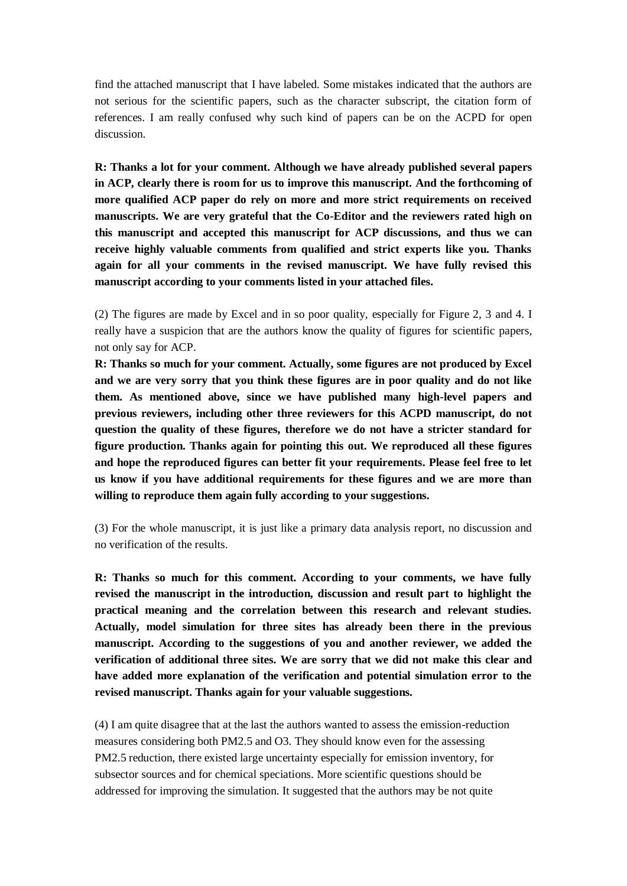find the attached manuscript that I have labeled. Some mistakes indicated that the authors are not serious for the scientific papers, such as the character subscript, the citation form of references. I am really confused why such kind of papers can be on the ACPD for open discussion.

**R: Thanks a lot for your comment. Although we have already published several papers in ACP, clearly there is room for us to improve this manuscript. And the forthcoming of more qualified ACP paper do rely on more and more strict requirements on received manuscripts. We are very grateful that the Co-Editor and the reviewers rated high on this manuscript and accepted this manuscript for ACP discussions, and thus we can receive highly valuable comments from qualified and strict experts like you. Thanks again for all your comments in the revised manuscript. We have fully revised this manuscript according to your comments listed in your attached files.** 

(2) The figures are made by Excel and in so poor quality, especially for Figure 2, 3 and 4. I really have a suspicion that are the authors know the quality of figures for scientific papers, not only say for ACP.

**R: Thanks so much for your comment. Actually, some figures are not produced by Excel and we are very sorry that you think these figures are in poor quality and do not like them. As mentioned above, since we have published many high-level papers and previous reviewers, including other three reviewers for this ACPD manuscript, do not question the quality of these figures, therefore we do not have a stricter standard for figure production. Thanks again for pointing this out. We reproduced all these figures and hope the reproduced figures can better fit your requirements. Please feel free to let us know if you have additional requirements for these figures and we are more than willing to reproduce them again fully according to your suggestions.** 

(3) For the whole manuscript, it is just like a primary data analysis report, no discussion and no verification of the results.

**R: Thanks so much for this comment. According to your comments, we have fully revised the manuscript in the introduction, discussion and result part to highlight the practical meaning and the correlation between this research and relevant studies. Actually, model simulation for three sites has already been there in the previous manuscript. According to the suggestions of you and another reviewer, we added the verification of additional three sites. We are sorry that we did not make this clear and have added more explanation of the verification and potential simulation error to the revised manuscript. Thanks again for your valuable suggestions.** 

(4) I am quite disagree that at the last the authors wanted to assess the emission-reduction measures considering both PM2.5 and O3. They should know even for the assessing PM2.5 reduction, there existed large uncertainty especially for emission inventory, for subsector sources and for chemical speciations. More scientific questions should be addressed for improving the simulation. It suggested that the authors may be not quite